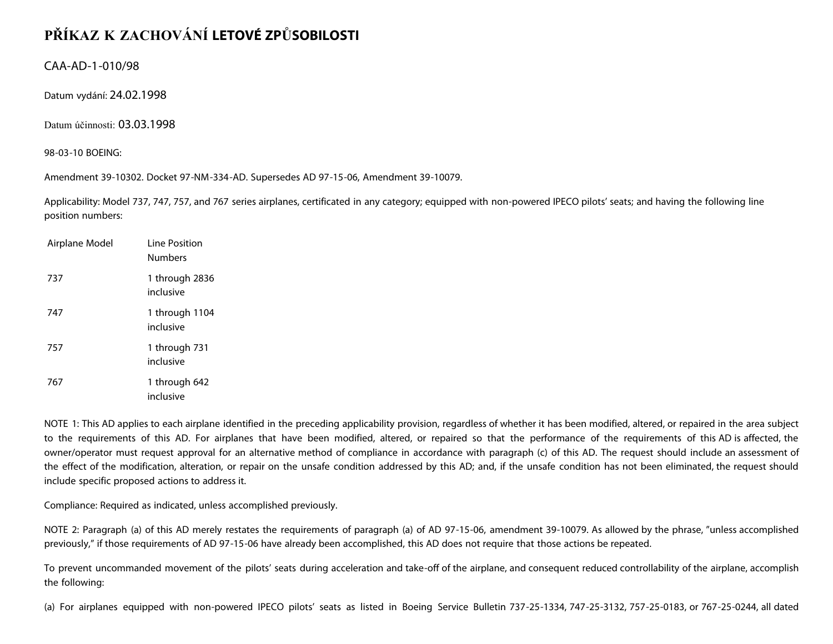## **PŘÍKAZ K ZACHOVÁNÍ LETOVÉ ZPŮSOBILOSTI**

CAA-AD-1-010/98

Datum vydání: 24.02.1998

Datum účinnosti: 03.03.1998

98-03-10 BOEING:

Amendment 39-10302. Docket 97-NM-334-AD. Supersedes AD 97-15-06, Amendment 39-10079.

Applicability: Model 737, 747, 757, and 767 series airplanes, certificated in any category; equipped with non-powered IPECO pilots' seats; and having the following line position numbers:

| Airplane Model | Line Position<br><b>Numbers</b> |
|----------------|---------------------------------|
| 737            | 1 through 2836<br>inclusive     |
| 747            | 1 through 1104<br>inclusive     |
| 757            | 1 through 731<br>inclusive      |
| 767            | 1 through 642<br>inclusive      |

NOTE 1: This AD applies to each airplane identified in the preceding applicability provision, regardless of whether it has been modified, altered, or repaired in the area subject to the requirements of this AD. For airplanes that have been modified, altered, or repaired so that the performance of the requirements of this AD is affected, the owner/operator must request approval for an alternative method of compliance in accordance with paragraph (c) of this AD. The request should include an assessment of the effect of the modification, alteration, or repair on the unsafe condition addressed by this AD; and, if the unsafe condition has not been eliminated, the request should include specific proposed actions to address it.

Compliance: Required as indicated, unless accomplished previously.

NOTE 2: Paragraph (a) of this AD merely restates the requirements of paragraph (a) of AD 97-15-06, amendment 39-10079. As allowed by the phrase, "unless accomplished previously," if those requirements of AD 97-15-06 have already been accomplished, this AD does not require that those actions be repeated.

To prevent uncommanded movement of the pilots' seats during acceleration and take-off of the airplane, and consequent reduced controllability of the airplane, accomplish the following:

(a) For airplanes equipped with non-powered IPECO pilots' seats as listed in Boeing Service Bulletin 737-25-1334, 747-25-3132, 757-25-0183, or 767-25-0244, all dated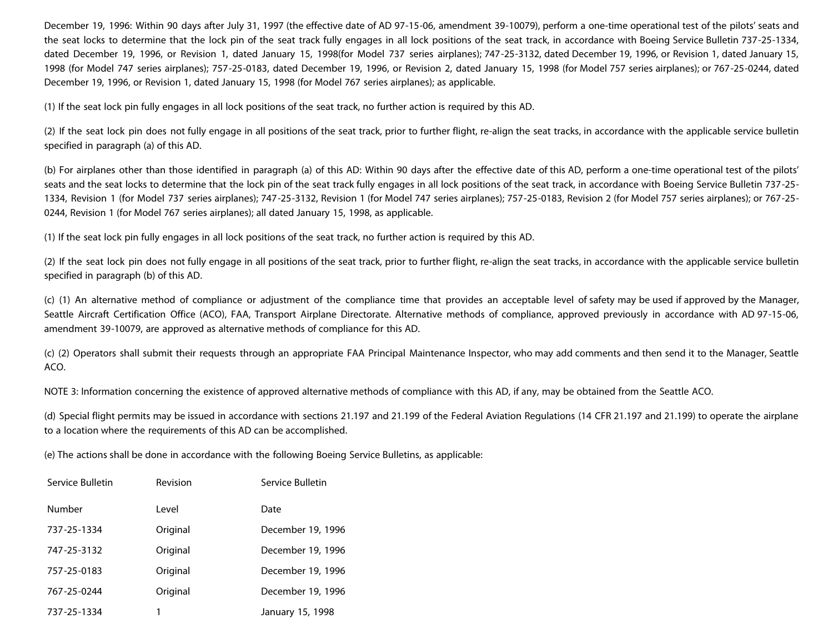December 19, 1996: Within 90 days after July 31, 1997 (the effective date of AD 97-15-06, amendment 39-10079), perform a one-time operational test of the pilots' seats and the seat locks to determine that the lock pin of the seat track fully engages in all lock positions of the seat track, in accordance with Boeing Service Bulletin 737-25-1334, dated December 19, 1996, or Revision 1, dated January 15, 1998(for Model 737 series airplanes); 747-25-3132, dated December 19, 1996, or Revision 1, dated January 15, 1998 (for Model 747 series airplanes); 757-25-0183, dated December 19, 1996, or Revision 2, dated January 15, 1998 (for Model 757 series airplanes); or 767-25-0244, dated December 19, 1996, or Revision 1, dated January 15, 1998 (for Model 767 series airplanes); as applicable.

(1) If the seat lock pin fully engages in all lock positions of the seat track, no further action is required by this AD.

(2) If the seat lock pin does not fully engage in all positions of the seat track, prior to further flight, re-align the seat tracks, in accordance with the applicable service bulletin specified in paragraph (a) of this AD.

(b) For airplanes other than those identified in paragraph (a) of this AD: Within 90 days after the effective date of this AD, perform a one-time operational test of the pilots' seats and the seat locks to determine that the lock pin of the seat track fully engages in all lock positions of the seat track, in accordance with Boeing Service Bulletin 737-25- 1334, Revision 1 (for Model 737 series airplanes); 747-25-3132, Revision 1 (for Model 747 series airplanes); 757-25-0183, Revision 2 (for Model 757 series airplanes); or 767-25- 0244, Revision 1 (for Model 767 series airplanes); all dated January 15, 1998, as applicable.

(1) If the seat lock pin fully engages in all lock positions of the seat track, no further action is required by this AD.

(2) If the seat lock pin does not fully engage in all positions of the seat track, prior to further flight, re-align the seat tracks, in accordance with the applicable service bulletin specified in paragraph (b) of this AD.

(c) (1) An alternative method of compliance or adjustment of the compliance time that provides an acceptable level of safety may be used if approved by the Manager, Seattle Aircraft Certification Office (ACO), FAA, Transport Airplane Directorate. Alternative methods of compliance, approved previously in accordance with AD 97-15-06, amendment 39-10079, are approved as alternative methods of compliance for this AD.

(c) (2) Operators shall submit their requests through an appropriate FAA Principal Maintenance Inspector, who may add comments and then send it to the Manager, Seattle ACO.

NOTE 3: Information concerning the existence of approved alternative methods of compliance with this AD, if any, may be obtained from the Seattle ACO.

(d) Special flight permits may be issued in accordance with sections 21.197 and 21.199 of the Federal Aviation Regulations (14 CFR 21.197 and 21.199) to operate the airplane to a location where the requirements of this AD can be accomplished.

(e) The actions shall be done in accordance with the following Boeing Service Bulletins, as applicable:

| Service Bulletin | Revision | Service Bulletin  |
|------------------|----------|-------------------|
| Number           | Level    | Date              |
| 737-25-1334      | Original | December 19, 1996 |
| 747-25-3132      | Original | December 19, 1996 |
| 757-25-0183      | Original | December 19, 1996 |
| 767-25-0244      | Original | December 19, 1996 |
| 737-25-1334      |          | January 15, 1998  |